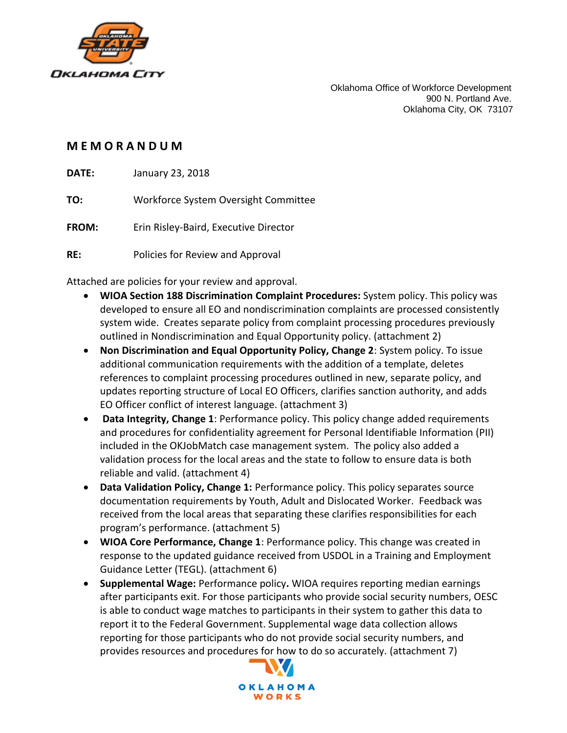

Oklahoma Office of Workforce Development 900 N. Portland Ave. Oklahoma City, OK 73107

## **M E M O R A N D U M**

**DATE:** January 23, 2018

**TO:** Workforce System Oversight Committee

**FROM:** Erin Risley-Baird, Executive Director

**RE:** Policies for Review and Approval

Attached are policies for your review and approval.

- **WIOA Section 188 Discrimination Complaint Procedures:** System policy. This policy was developed to ensure all EO and nondiscrimination complaints are processed consistently system wide. Creates separate policy from complaint processing procedures previously outlined in Nondiscrimination and Equal Opportunity policy. (attachment 2)
- **Non Discrimination and Equal Opportunity Policy, Change 2**: System policy. To issue additional communication requirements with the addition of a template, deletes references to complaint processing procedures outlined in new, separate policy, and updates reporting structure of Local EO Officers, clarifies sanction authority, and adds EO Officer conflict of interest language. (attachment 3)
- **Data Integrity, Change 1**: Performance policy. This policy change added requirements and procedures for confidentiality agreement for Personal Identifiable Information (PII) included in the OKJobMatch case management system. The policy also added a validation process for the local areas and the state to follow to ensure data is both reliable and valid. (attachment 4)
- **Data Validation Policy, Change 1:** Performance policy. This policy separates source documentation requirements by Youth, Adult and Dislocated Worker. Feedback was received from the local areas that separating these clarifies responsibilities for each program's performance. (attachment 5)
- **WIOA Core Performance, Change 1**: Performance policy. This change was created in response to the updated guidance received from USDOL in a Training and Employment Guidance Letter (TEGL). (attachment 6)
- **Supplemental Wage:** Performance policy**.** WIOA requires reporting median earnings after participants exit. For those participants who provide social security numbers, OESC is able to conduct wage matches to participants in their system to gather this data to report it to the Federal Government. Supplemental wage data collection allows reporting for those participants who do not provide social security numbers, and provides resources and procedures for how to do so accurately. (attachment 7)